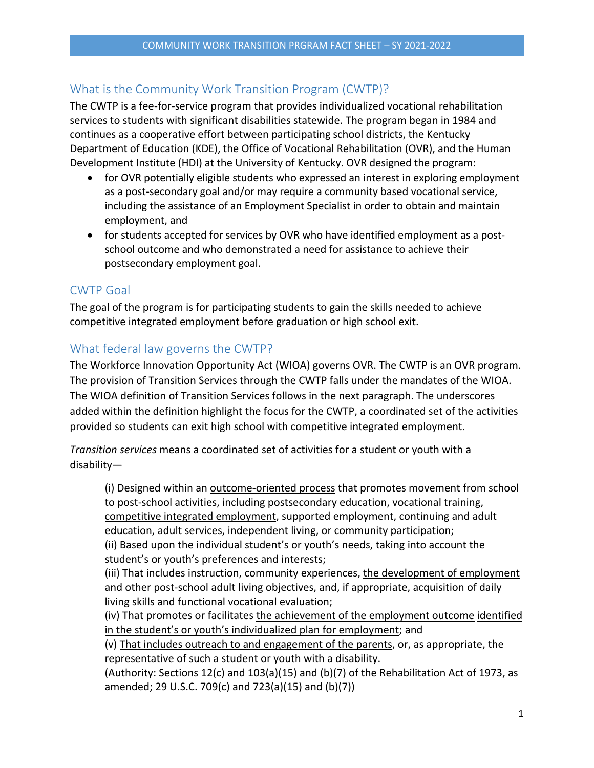## What is the Community Work Transition Program (CWTP)?

The CWTP is a fee-for-service program that provides individualized vocational rehabilitation services to students with significant disabilities statewide. The program began in 1984 and continues as a cooperative effort between participating school districts, the Kentucky Department of Education (KDE), the Office of Vocational Rehabilitation (OVR), and the Human Development Institute (HDI) at the University of Kentucky. OVR designed the program:

- for OVR potentially eligible students who expressed an interest in exploring employment as a post-secondary goal and/or may require a community based vocational service, including the assistance of an Employment Specialist in order to obtain and maintain employment, and
- for students accepted for services by OVR who have identified employment as a postschool outcome and who demonstrated a need for assistance to achieve their postsecondary employment goal.

### CWTP Goal

The goal of the program is for participating students to gain the skills needed to achieve competitive integrated employment before graduation or high school exit.

### What federal law governs the CWTP?

The Workforce Innovation Opportunity Act (WIOA) governs OVR. The CWTP is an OVR program. The provision of Transition Services through the CWTP falls under the mandates of the WIOA. The WIOA definition of Transition Services follows in the next paragraph. The underscores added within the definition highlight the focus for the CWTP, a coordinated set of the activities provided so students can exit high school with competitive integrated employment.

*Transition services* means a coordinated set of activities for a student or youth with a disability—

(i) Designed within an outcome‐oriented process that promotes movement from school to post-school activities, including postsecondary education, vocational training, competitive integrated employment, supported employment, continuing and adult education, adult services, independent living, or community participation;

(ii) Based upon the individual student's or youth's needs, taking into account the student's or youth's preferences and interests;

(iii) That includes instruction, community experiences, the development of employment and other post‐school adult living objectives, and, if appropriate, acquisition of daily living skills and functional vocational evaluation;

(iv) That promotes or facilitates the achievement of the employment outcome identified in the student's or youth's individualized plan for employment; and

(v) That includes outreach to and engagement of the parents, or, as appropriate, the representative of such a student or youth with a disability.

(Authority: Sections 12(c) and 103(a)(15) and (b)(7) of the Rehabilitation Act of 1973, as amended; 29 U.S.C. 709(c) and 723(a)(15) and (b)(7))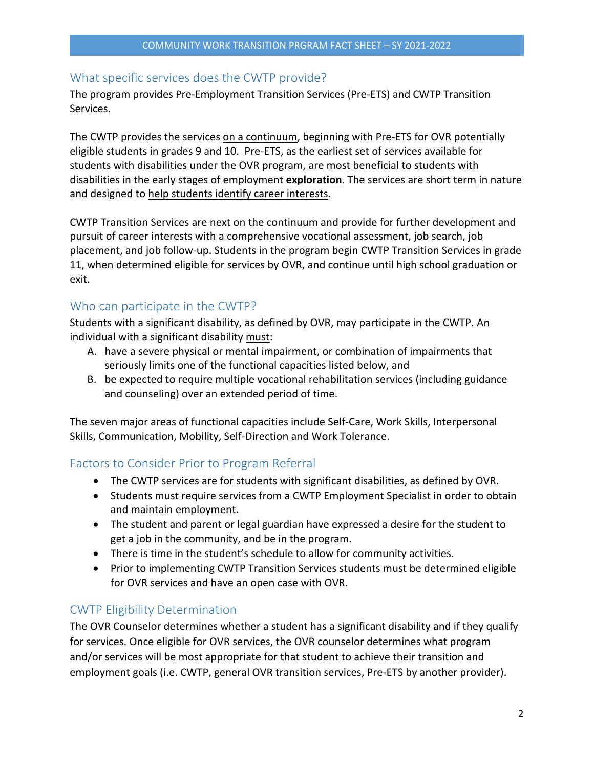#### What specific services does the CWTP provide?

The program provides Pre‐Employment Transition Services (Pre‐ETS) and CWTP Transition Services.

The CWTP provides the services on a continuum, beginning with Pre‐ETS for OVR potentially eligible students in grades 9 and 10. Pre‐ETS, as the earliest set of services available for students with disabilities under the OVR program, are most beneficial to students with disabilities in the early stages of employment **exploration**. The services are short term in nature and designed to help students identify career interests.

CWTP Transition Services are next on the continuum and provide for further development and pursuit of career interests with a comprehensive vocational assessment, job search, job placement, and job follow‐up. Students in the program begin CWTP Transition Services in grade 11, when determined eligible for services by OVR, and continue until high school graduation or exit.

#### Who can participate in the CWTP?

Students with a significant disability, as defined by OVR, may participate in the CWTP. An individual with a significant disability must:

- A. have a severe physical or mental impairment, or combination of impairments that seriously limits one of the functional capacities listed below, and
- B. be expected to require multiple vocational rehabilitation services (including guidance and counseling) over an extended period of time.

The seven major areas of functional capacities include Self‐Care, Work Skills, Interpersonal Skills, Communication, Mobility, Self‐Direction and Work Tolerance.

#### Factors to Consider Prior to Program Referral

- The CWTP services are for students with significant disabilities, as defined by OVR.
- Students must require services from a CWTP Employment Specialist in order to obtain and maintain employment.
- The student and parent or legal guardian have expressed a desire for the student to get a job in the community, and be in the program.
- There is time in the student's schedule to allow for community activities.
- Prior to implementing CWTP Transition Services students must be determined eligible for OVR services and have an open case with OVR.

#### CWTP Eligibility Determination

The OVR Counselor determines whether a student has a significant disability and if they qualify for services. Once eligible for OVR services, the OVR counselor determines what program and/or services will be most appropriate for that student to achieve their transition and employment goals (i.e. CWTP, general OVR transition services, Pre‐ETS by another provider).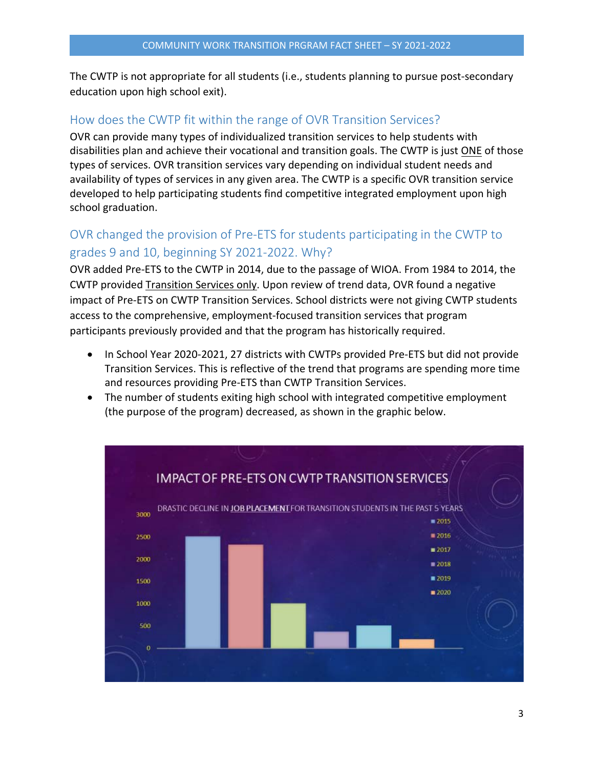The CWTP is not appropriate for all students (i.e., students planning to pursue post‐secondary education upon high school exit).

## How does the CWTP fit within the range of OVR Transition Services?

OVR can provide many types of individualized transition services to help students with disabilities plan and achieve their vocational and transition goals. The CWTP is just ONE of those types of services. OVR transition services vary depending on individual student needs and availability of types of services in any given area. The CWTP is a specific OVR transition service developed to help participating students find competitive integrated employment upon high school graduation.

# OVR changed the provision of Pre‐ETS for students participating in the CWTP to grades 9 and 10, beginning SY 2021‐2022. Why?

OVR added Pre‐ETS to the CWTP in 2014, due to the passage of WIOA. From 1984 to 2014, the CWTP provided Transition Services only. Upon review of trend data, OVR found a negative impact of Pre‐ETS on CWTP Transition Services. School districts were not giving CWTP students access to the comprehensive, employment‐focused transition services that program participants previously provided and that the program has historically required.

- In School Year 2020-2021, 27 districts with CWTPs provided Pre-ETS but did not provide Transition Services. This is reflective of the trend that programs are spending more time and resources providing Pre‐ETS than CWTP Transition Services.
- The number of students exiting high school with integrated competitive employment (the purpose of the program) decreased, as shown in the graphic below.